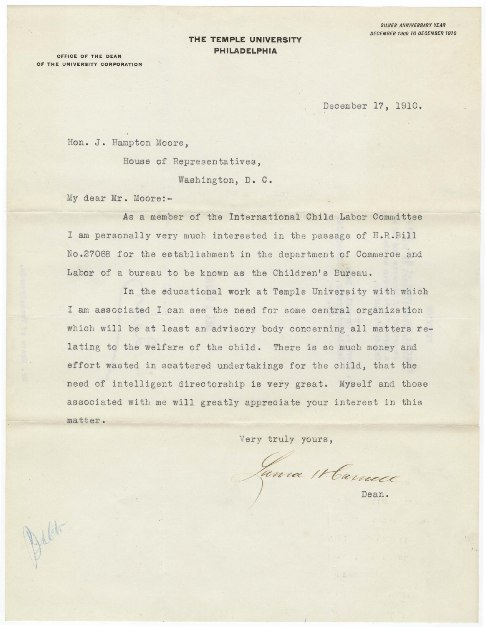## **THE TEMPLE UNIVERSITY PHILADELPHIA**

OFFICE OF THE **DEAN**  OF THE **UNIVERSITY CORPORATION** 

December 17, 1910.

Hon. J. Hampton Moore, House of Representatives, Washington, D. C.

My dear Mr. Moore:-

As a member of the International Child Labor Committee I am personally very much interested. in the passage of H.R.Bill No .27068 for the establishment in the department of Commerce and Labor of a bureau to be known as the Children's Bureau.

In the educational work at Temple University with which I am associated I can see the need for some central organization which will be at least an advisory body concerning all matters relating to the welfare of the child. There is so much money and effort wasted in scattered undertakings for the child, that the need of intelligent directorship is very great. Myself and those associated with me **will** greatly appreciate your interest in this matter.

Very truly yours,

*/ ~ ?c??C"-CC* 

Dean.